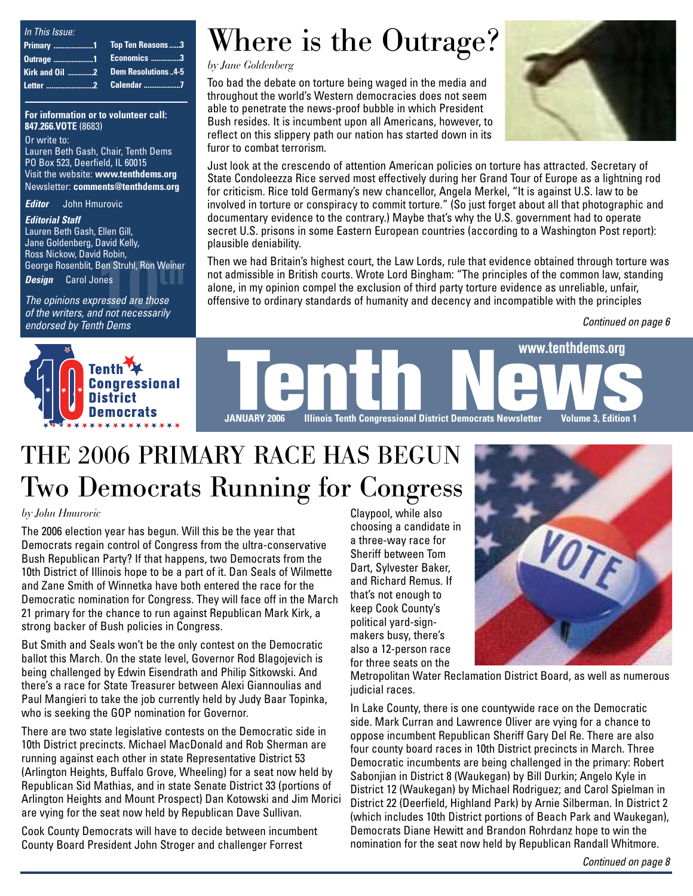| In This Issue: |  |
|----------------|--|
|                |  |
|                |  |
|                |  |
|                |  |

**For information or to volunteer call: 847.266.VOTE** (8683)

Or write to: Lauren Beth Gash, Chair, Tenth Dems PO Box 523, Deerfield, IL 60015 Visit the website: **www.tenthdems.org**  Newsletter: **comments@tenthdems.org**

*Editor* John Hmurovic

#### *Editorial Staff*

**10th** George Rosenblit, Ben Struhl, Ron Weiner<br>**Design** Carol Jones<br>The opinions expressed are those<br>of the writers, and not necessarily Lauren Beth Gash, Ellen Gill, Jane Goldenberg, David Kelly, Ross Nickow, David Robin, *Design* Carol Jones

*The opinions expressed are those of the writers, and not necessarily endorsed by Tenth Dems*



# Where is the Outrage?

*by Jane Goldenberg*

Too bad the debate on torture being waged in the media and throughout the world's Western democracies does not seem able to penetrate the news-proof bubble in which President Bush resides. It is incumbent upon all Americans, however, to reflect on this slippery path our nation has started down in its furor to combat terrorism.



Just look at the crescendo of attention American policies on torture has attracted. Secretary of State Condoleezza Rice served most effectively during her Grand Tour of Europe as a lightning rod for criticism. Rice told Germany's new chancellor, Angela Merkel, "It is against U.S. law to be involved in torture or conspiracy to commit torture." (So just forget about all that photographic and documentary evidence to the contrary.) Maybe that's why the U.S. government had to operate secret U.S. prisons in some Eastern European countries (according to a Washington Post report): plausible deniability.

Then we had Britain's highest court, the Law Lords, rule that evidence obtained through torture was not admissible in British courts. Wrote Lord Bingham: "The principles of the common law, standing alone, in my opinion compel the exclusion of third party torture evidence as unreliable, unfair, offensive to ordinary standards of humanity and decency and incompatible with the principles

*Continued on page 6*



### THE 2006 PRIMARY RACE HAS BEGUN Two Democrats Running for Congress

#### *by John Hmurovic*

The 2006 election year has begun. Will this be the year that Democrats regain control of Congress from the ultra-conservative Bush Republican Party? If that happens, two Democrats from the 10th District of Illinois hope to be a part of it. Dan Seals of Wilmette and Zane Smith of Winnetka have both entered the race for the Democratic nomination for Congress. They will face off in the March 21 primary for the chance to run against Republican Mark Kirk, a strong backer of Bush policies in Congress.

But Smith and Seals won't be the only contest on the Democratic ballot this March. On the state level, Governor Rod Blagojevich is being challenged by Edwin Eisendrath and Philip Sitkowski. And there's a race for State Treasurer between Alexi Giannoulias and Paul Mangieri to take the job currently held by Judy Baar Topinka, who is seeking the GOP nomination for Governor.

There are two state legislative contests on the Democratic side in 10th District precincts. Michael MacDonald and Rob Sherman are running against each other in state Representative District 53 (Arlington Heights, Buffalo Grove, Wheeling) for a seat now held by Republican Sid Mathias, and in state Senate District 33 (portions of Arlington Heights and Mount Prospect) Dan Kotowski and Jim Morici are vying for the seat now held by Republican Dave Sullivan.

Cook County Democrats will have to decide between incumbent County Board President John Stroger and challenger Forrest

Claypool, while also choosing a candidate in a three-way race for Sheriff between Tom Dart, Sylvester Baker, and Richard Remus. If that's not enough to keep Cook County's political yard-signmakers busy, there's also a 12-person race for three seats on the



Metropolitan Water Reclamation District Board, as well as numerous judicial races.

In Lake County, there is one countywide race on the Democratic side. Mark Curran and Lawrence Oliver are vying for a chance to oppose incumbent Republican Sheriff Gary Del Re. There are also four county board races in 10th District precincts in March. Three Democratic incumbents are being challenged in the primary: Robert Sabonjian in District 8 (Waukegan) by Bill Durkin; Angelo Kyle in District 12 (Waukegan) by Michael Rodriguez; and Carol Spielman in District 22 (Deerfield, Highland Park) by Arnie Silberman. In District 2 (which includes 10th District portions of Beach Park and Waukegan), Democrats Diane Hewitt and Brandon Rohrdanz hope to win the nomination for the seat now held by Republican Randall Whitmore.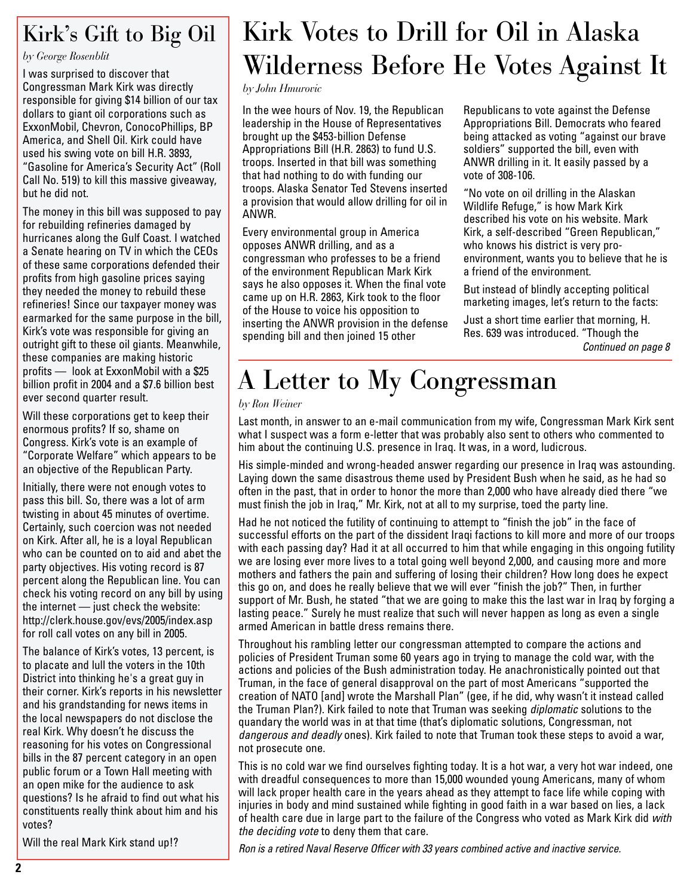#### Kirk's Gift to Big Oil

*by George Rosenblit*

I was surprised to discover that Congressman Mark Kirk was directly responsible for giving \$14 billion of our tax dollars to giant oil corporations such as ExxonMobil, Chevron, ConocoPhillips, BP America, and Shell Oil. Kirk could have used his swing vote on bill H.R. 3893, "Gasoline for America's Security Act" (Roll Call No. 519) to kill this massive giveaway, but he did not.

The money in this bill was supposed to pay for rebuilding refineries damaged by hurricanes along the Gulf Coast. I watched a Senate hearing on TV in which the CEOs of these same corporations defended their profits from high gasoline prices saying they needed the money to rebuild these refineries! Since our taxpayer money was earmarked for the same purpose in the bill, Kirk's vote was responsible for giving an outright gift to these oil giants. Meanwhile, these companies are making historic profits — look at ExxonMobil with a \$25 billion profit in 2004 and a \$7.6 billion best ever second quarter result.

Will these corporations get to keep their enormous profits? If so, shame on Congress. Kirk's vote is an example of "Corporate Welfare" which appears to be an objective of the Republican Party.

Initially, there were not enough votes to pass this bill. So, there was a lot of arm twisting in about 45 minutes of overtime. Certainly, such coercion was not needed on Kirk. After all, he is a loyal Republican who can be counted on to aid and abet the party objectives. His voting record is 87 percent along the Republican line. You can check his voting record on any bill by using the internet — just check the website: http://clerk.house.gov/evs/2005/index.asp for roll call votes on any bill in 2005.

The balance of Kirk's votes, 13 percent, is to placate and lull the voters in the 10th District into thinking he's a great guy in their corner. Kirk's reports in his newsletter and his grandstanding for news items in the local newspapers do not disclose the real Kirk. Why doesn't he discuss the reasoning for his votes on Congressional bills in the 87 percent category in an open public forum or a Town Hall meeting with an open mike for the audience to ask questions? Is he afraid to find out what his constituents really think about him and his votes?

Will the real Mark Kirk stand up!?

### Kirk Votes to Drill for Oil in Alaska Wilderness Before He Votes Against It

*by John Hmurovic*

In the wee hours of Nov. 19, the Republican leadership in the House of Representatives brought up the \$453-billion Defense Appropriations Bill (H.R. 2863) to fund U.S. troops. Inserted in that bill was something that had nothing to do with funding our troops. Alaska Senator Ted Stevens inserted a provision that would allow drilling for oil in ANWR.

Every environmental group in America opposes ANWR drilling, and as a congressman who professes to be a friend of the environment Republican Mark Kirk says he also opposes it. When the final vote came up on H.R. 2863, Kirk took to the floor of the House to voice his opposition to inserting the ANWR provision in the defense spending bill and then joined 15 other

Republicans to vote against the Defense Appropriations Bill. Democrats who feared being attacked as voting "against our brave soldiers" supported the bill, even with ANWR drilling in it. It easily passed by a vote of 308-106.

"No vote on oil drilling in the Alaskan Wildlife Refuge," is how Mark Kirk described his vote on his website. Mark Kirk, a self-described "Green Republican," who knows his district is very proenvironment, wants you to believe that he is a friend of the environment.

But instead of blindly accepting political marketing images, let's return to the facts:

Just a short time earlier that morning, H. Res. 639 was introduced. "Though the *Continued on page 8*

# A Letter to My Congressman

#### *by Ron Weiner*

Last month, in answer to an e-mail communication from my wife, Congressman Mark Kirk sent what I suspect was a form e-letter that was probably also sent to others who commented to him about the continuing U.S. presence in Iraq. It was, in a word, ludicrous.

His simple-minded and wrong-headed answer regarding our presence in Iraq was astounding. Laying down the same disastrous theme used by President Bush when he said, as he had so often in the past, that in order to honor the more than 2,000 who have already died there "we must finish the job in Iraq," Mr. Kirk, not at all to my surprise, toed the party line.

Had he not noticed the futility of continuing to attempt to "finish the job" in the face of successful efforts on the part of the dissident Iraqi factions to kill more and more of our troops with each passing day? Had it at all occurred to him that while engaging in this ongoing futility we are losing ever more lives to a total going well beyond 2,000, and causing more and more mothers and fathers the pain and suffering of losing their children? How long does he expect this go on, and does he really believe that we will ever "finish the job?" Then, in further support of Mr. Bush, he stated "that we are going to make this the last war in Iraq by forging a lasting peace." Surely he must realize that such will never happen as long as even a single armed American in battle dress remains there.

Throughout his rambling letter our congressman attempted to compare the actions and policies of President Truman some 60 years ago in trying to manage the cold war, with the actions and policies of the Bush administration today. He anachronistically pointed out that Truman, in the face of general disapproval on the part of most Americans "supported the creation of NATO [and] wrote the Marshall Plan" (gee, if he did, why wasn't it instead called the Truman Plan?). Kirk failed to note that Truman was seeking *diplomatic* solutions to the quandary the world was in at that time (that's diplomatic solutions, Congressman, not *dangerous and deadly* ones). Kirk failed to note that Truman took these steps to avoid a war, not prosecute one.

This is no cold war we find ourselves fighting today. It is a hot war, a very hot war indeed, one with dreadful consequences to more than 15,000 wounded young Americans, many of whom will lack proper health care in the years ahead as they attempt to face life while coping with injuries in body and mind sustained while fighting in good faith in a war based on lies, a lack of health care due in large part to the failure of the Congress who voted as Mark Kirk did *with the deciding vote* to deny them that care.

*Ron is a retired Naval Reserve Officer with 33 years combined active and inactive service.*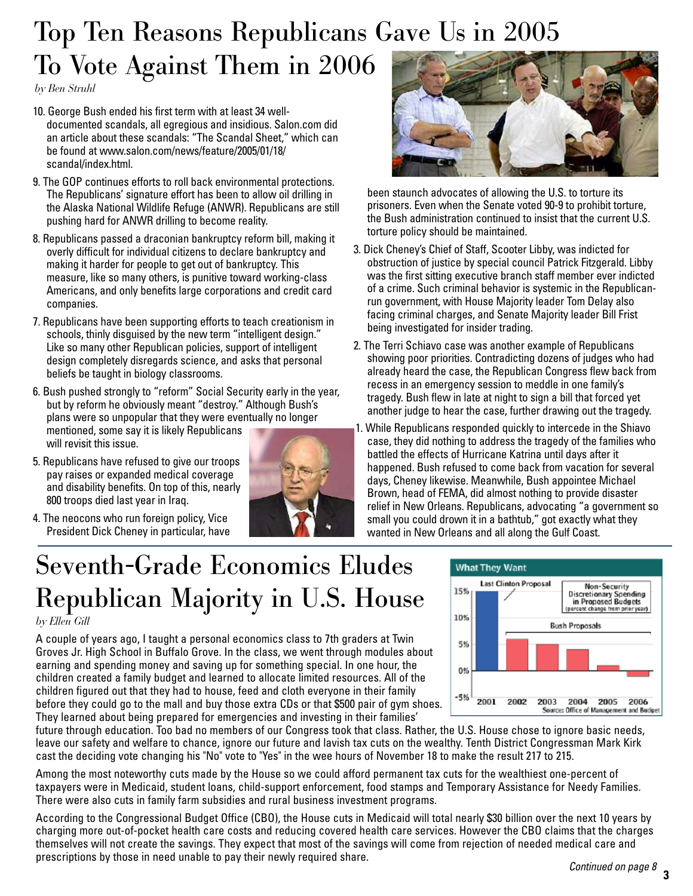### Top Ten Reasons Republicans Gave Us in 2005 To Vote Against Them in 2006

*by Ben Struhl*

- 10. George Bush ended his first term with at least 34 welldocumented scandals, all egregious and insidious. Salon.com did an article about these scandals: "The Scandal Sheet," which can be found at www.salon.com/news/feature/2005/01/18/ scandal/index.html.
- 9. The GOP continues efforts to roll back environmental protections. The Republicans' signature effort has been to allow oil drilling in the Alaska National Wildlife Refuge (ANWR). Republicans are still pushing hard for ANWR drilling to become reality.
- 8. Republicans passed a draconian bankruptcy reform bill, making it overly difficult for individual citizens to declare bankruptcy and making it harder for people to get out of bankruptcy. This measure, like so many others, is punitive toward working-class Americans, and only benefits large corporations and credit card companies.
- 7. Republicans have been supporting efforts to teach creationism in schools, thinly disguised by the new term "intelligent design." Like so many other Republican policies, support of intelligent design completely disregards science, and asks that personal beliefs be taught in biology classrooms.
- 6. Bush pushed strongly to "reform" Social Security early in the year, but by reform he obviously meant "destroy." Although Bush's plans were so unpopular that they were eventually no longer mentioned, some say it is likely Republicans will revisit this issue.
- 5. Republicans have refused to give our troops pay raises or expanded medical coverage and disability benefits. On top of this, nearly 800 troops died last year in Iraq.
- 4. The neocons who run foreign policy, Vice President Dick Cheney in particular, have





been staunch advocates of allowing the U.S. to torture its prisoners. Even when the Senate voted 90-9 to prohibit torture, the Bush administration continued to insist that the current U.S. torture policy should be maintained.

- 3. Dick Cheney's Chief of Staff, Scooter Libby, was indicted for obstruction of justice by special council Patrick Fitzgerald. Libby was the first sitting executive branch staff member ever indicted of a crime. Such criminal behavior is systemic in the Republicanrun government, with House Majority leader Tom Delay also facing criminal charges, and Senate Majority leader Bill Frist being investigated for insider trading.
- 2. The Terri Schiavo case was another example of Republicans showing poor priorities. Contradicting dozens of judges who had already heard the case, the Republican Congress flew back from recess in an emergency session to meddle in one family's tragedy. Bush flew in late at night to sign a bill that forced yet another judge to hear the case, further drawing out the tragedy.
- 1. While Republicans responded quickly to intercede in the Shiavo case, they did nothing to address the tragedy of the families who battled the effects of Hurricane Katrina until days after it happened. Bush refused to come back from vacation for several days, Cheney likewise. Meanwhile, Bush appointee Michael Brown, head of FEMA, did almost nothing to provide disaster relief in New Orleans. Republicans, advocating "a government so small you could drown it in a bathtub," got exactly what they wanted in New Orleans and all along the Gulf Coast.

# Seventh-Grade Economics Eludes Republican Majority in U.S. House

*by Ellen Gill*

A couple of years ago, I taught a personal economics class to 7th graders at Twin Groves Jr. High School in Buffalo Grove. In the class, we went through modules about earning and spending money and saving up for something special. In one hour, the children created a family budget and learned to allocate limited resources. All of the children figured out that they had to house, feed and cloth everyone in their family before they could go to the mall and buy those extra CDs or that \$500 pair of gym shoes. They learned about being prepared for emergencies and investing in their families'



future through education. Too bad no members of our Congress took that class. Rather, the U.S. House chose to ignore basic needs, leave our safety and welfare to chance, ignore our future and lavish tax cuts on the wealthy. Tenth District Congressman Mark Kirk cast the deciding vote changing his "No" vote to "Yes" in the wee hours of November 18 to make the result 217 to 215.

Among the most noteworthy cuts made by the House so we could afford permanent tax cuts for the wealthiest one-percent of taxpayers were in Medicaid, student loans, child-support enforcement, food stamps and Temporary Assistance for Needy Families. There were also cuts in family farm subsidies and rural business investment programs.

According to the Congressional Budget Office (CBO), the House cuts in Medicaid will total nearly \$30 billion over the next 10 years by charging more out-of-pocket health care costs and reducing covered health care services. However the CBO claims that the charges themselves will not create the savings. They expect that most of the savings will come from rejection of needed medical care and prescriptions by those in need unable to pay their newly required share.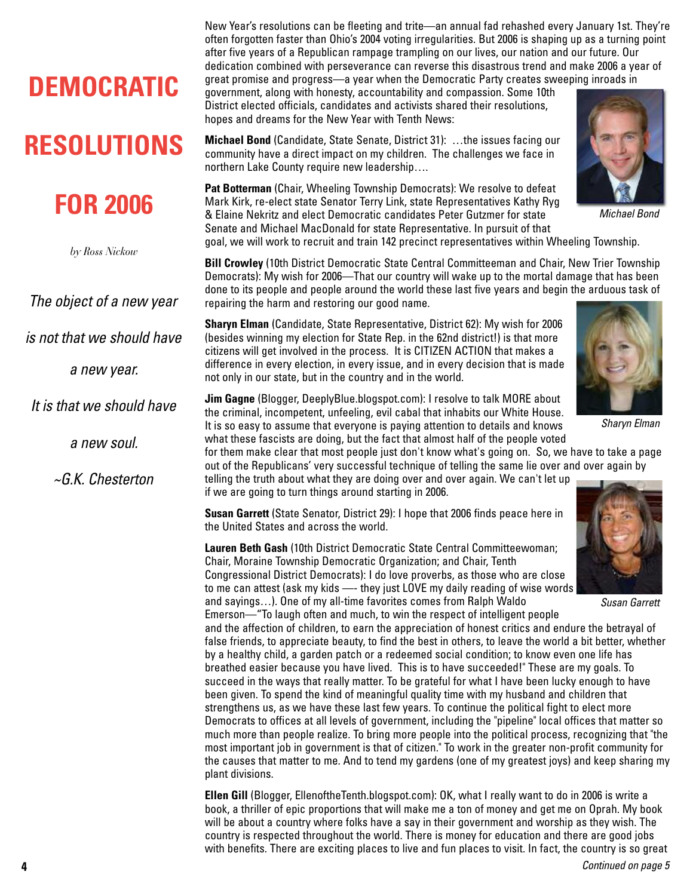### **DEMOCRATIC**

### **RESOLUTIONS**

#### **FOR 2006**

*by Ross Nickow*

*The object of a new year* 

*is not that we should have*

*a new year.*

*It is that we should have* 

*a new soul.* 

*~G.K. Chesterton*

New Year's resolutions can be fleeting and trite—an annual fad rehashed every January 1st. They're often forgotten faster than Ohio's 2004 voting irregularities. But 2006 is shaping up as a turning point after five years of a Republican rampage trampling on our lives, our nation and our future. Our dedication combined with perseverance can reverse this disastrous trend and make 2006 a year of great promise and progress—a year when the Democratic Party creates sweeping inroads in

government, along with honesty, accountability and compassion. Some 10th District elected officials, candidates and activists shared their resolutions, hopes and dreams for the New Year with Tenth News:

**Michael Bond** (Candidate, State Senate, District 31): …the issues facing our community have a direct impact on my children. The challenges we face in northern Lake County require new leadership….

**Pat Botterman** (Chair, Wheeling Township Democrats): We resolve to defeat Mark Kirk, re-elect state Senator Terry Link, state Representatives Kathy Ryg & Elaine Nekritz and elect Democratic candidates Peter Gutzmer for state Senate and Michael MacDonald for state Representative. In pursuit of that goal, we will work to recruit and train 142 precinct representatives within Wheeling Township.

**Bill Crowley** (10th District Democratic State Central Committeeman and Chair, New Trier Township Democrats): My wish for 2006—That our country will wake up to the mortal damage that has been done to its people and people around the world these last five years and begin the arduous task of repairing the harm and restoring our good name.

**Sharyn Elman** (Candidate, State Representative, District 62): My wish for 2006 (besides winning my election for State Rep. in the 62nd district!) is that more citizens will get involved in the process. It is CITIZEN ACTION that makes a difference in every election, in every issue, and in every decision that is made not only in our state, but in the country and in the world.



**Jim Gagne** (Blogger, DeeplyBlue.blogspot.com): I resolve to talk MORE about the criminal, incompetent, unfeeling, evil cabal that inhabits our White House. It is so easy to assume that everyone is paying attention to details and knows what these fascists are doing, but the fact that almost half of the people voted

for them make clear that most people just don't know what's going on. So, we have to take a page out of the Republicans' very successful technique of telling the same lie over and over again by telling the truth about what they are doing over and over again. We can't let up

**Susan Garrett** (State Senator, District 29): I hope that 2006 finds peace here in the United States and across the world.

if we are going to turn things around starting in 2006.

**Lauren Beth Gash** (10th District Democratic State Central Committeewoman; Chair, Moraine Township Democratic Organization; and Chair, Tenth Congressional District Democrats): I do love proverbs, as those who are close to me can attest (ask my kids —- they just LOVE my daily reading of wise words and sayings…). One of my all-time favorites comes from Ralph Waldo

*Susan Garrett*

Emerson—"To laugh often and much, to win the respect of intelligent people and the affection of children, to earn the appreciation of honest critics and endure the betrayal of false friends, to appreciate beauty, to find the best in others, to leave the world a bit better, whether by a healthy child, a garden patch or a redeemed social condition; to know even one life has breathed easier because you have lived. This is to have succeeded!" These are my goals. To succeed in the ways that really matter. To be grateful for what I have been lucky enough to have been given. To spend the kind of meaningful quality time with my husband and children that strengthens us, as we have these last few years. To continue the political fight to elect more Democrats to offices at all levels of government, including the "pipeline" local offices that matter so much more than people realize. To bring more people into the political process, recognizing that "the most important job in government is that of citizen." To work in the greater non-profit community for the causes that matter to me. And to tend my gardens (one of my greatest joys) and keep sharing my plant divisions.

**Ellen Gill** (Blogger, EllenoftheTenth.blogspot.com): OK, what I really want to do in 2006 is write a book, a thriller of epic proportions that will make me a ton of money and get me on Oprah. My book will be about a country where folks have a say in their government and worship as they wish. The country is respected throughout the world. There is money for education and there are good jobs with benefits. There are exciting places to live and fun places to visit. In fact, the country is so great



*Michael Bond*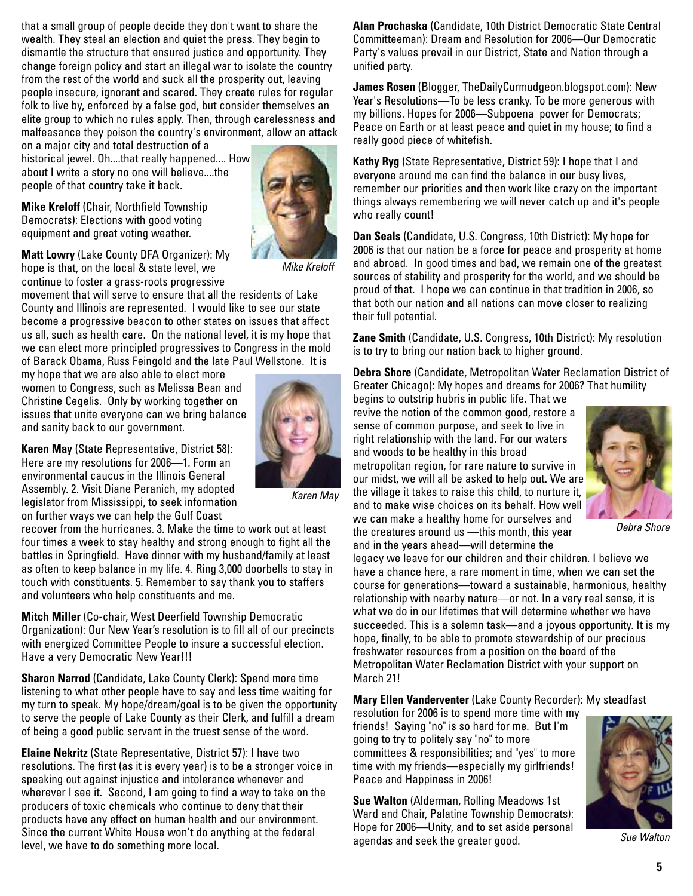that a small group of people decide they don't want to share the wealth. They steal an election and quiet the press. They begin to dismantle the structure that ensured justice and opportunity. They change foreign policy and start an illegal war to isolate the country from the rest of the world and suck all the prosperity out, leaving people insecure, ignorant and scared. They create rules for regular folk to live by, enforced by a false god, but consider themselves an elite group to which no rules apply. Then, through carelessness and malfeasance they poison the country's environment, allow an attack

on a major city and total destruction of a historical jewel. Oh....that really happened.... How about I write a story no one will believe....the people of that country take it back.

**Mike Kreloff** (Chair, Northfield Township Democrats): Elections with good voting equipment and great voting weather.



*Mike Kreloff* 

**Matt Lowry** (Lake County DFA Organizer): My hope is that, on the local & state level, we continue to foster a grass-roots progressive

movement that will serve to ensure that all the residents of Lake County and Illinois are represented. I would like to see our state become a progressive beacon to other states on issues that affect us all, such as health care. On the national level, it is my hope that we can elect more principled progressives to Congress in the mold of Barack Obama, Russ Feingold and the late Paul Wellstone. It is

my hope that we are also able to elect more women to Congress, such as Melissa Bean and Christine Cegelis. Only by working together on issues that unite everyone can we bring balance and sanity back to our government.

**Karen May** (State Representative, District 58): Here are my resolutions for 2006—1. Form an environmental caucus in the Illinois General Assembly. 2. Visit Diane Peranich, my adopted legislator from Mississippi, to seek information on further ways we can help the Gulf Coast



*Karen May*

recover from the hurricanes. 3. Make the time to work out at least four times a week to stay healthy and strong enough to fight all the battles in Springfield. Have dinner with my husband/family at least as often to keep balance in my life. 4. Ring 3,000 doorbells to stay in touch with constituents. 5. Remember to say thank you to staffers and volunteers who help constituents and me.

**Mitch Miller** (Co-chair, West Deerfield Township Democratic Organization): Our New Year's resolution is to fill all of our precincts with energized Committee People to insure a successful election. Have a very Democratic New Year!!!

**Sharon Narrod** (Candidate, Lake County Clerk): Spend more time listening to what other people have to say and less time waiting for my turn to speak. My hope/dream/goal is to be given the opportunity to serve the people of Lake County as their Clerk, and fulfill a dream of being a good public servant in the truest sense of the word.

**Elaine Nekritz** (State Representative, District 57): I have two resolutions. The first (as it is every year) is to be a stronger voice in speaking out against injustice and intolerance whenever and wherever I see it. Second, I am going to find a way to take on the producers of toxic chemicals who continue to deny that their products have any effect on human health and our environment. Since the current White House won't do anything at the federal level, we have to do something more local.

**Alan Prochaska** (Candidate, 10th District Democratic State Central Committeeman): Dream and Resolution for 2006—Our Democratic Party's values prevail in our District, State and Nation through a unified party.

**James Rosen** (Blogger, TheDailyCurmudgeon.blogspot.com): New Year's Resolutions—To be less cranky. To be more generous with my billions. Hopes for 2006—Subpoena power for Democrats; Peace on Earth or at least peace and quiet in my house; to find a really good piece of whitefish.

**Kathy Ryg** (State Representative, District 59): I hope that I and everyone around me can find the balance in our busy lives, remember our priorities and then work like crazy on the important things always remembering we will never catch up and it's people who really count!

**Dan Seals** (Candidate, U.S. Congress, 10th District): My hope for 2006 is that our nation be a force for peace and prosperity at home and abroad. In good times and bad, we remain one of the greatest sources of stability and prosperity for the world, and we should be proud of that. I hope we can continue in that tradition in 2006, so that both our nation and all nations can move closer to realizing their full potential.

**Zane Smith** (Candidate, U.S. Congress, 10th District): My resolution is to try to bring our nation back to higher ground.

**Debra Shore** (Candidate, Metropolitan Water Reclamation District of Greater Chicago): My hopes and dreams for 2006? That humility

begins to outstrip hubris in public life. That we revive the notion of the common good, restore a sense of common purpose, and seek to live in right relationship with the land. For our waters and woods to be healthy in this broad metropolitan region, for rare nature to survive in our midst, we will all be asked to help out. We are the village it takes to raise this child, to nurture it, and to make wise choices on its behalf. How well we can make a healthy home for ourselves and the creatures around us —this month, this year and in the years ahead—will determine the



*Debra Shore*

legacy we leave for our children and their children. I believe we have a chance here, a rare moment in time, when we can set the course for generations—toward a sustainable, harmonious, healthy relationship with nearby nature—or not. In a very real sense, it is what we do in our lifetimes that will determine whether we have succeeded. This is a solemn task—and a joyous opportunity. It is my hope, finally, to be able to promote stewardship of our precious freshwater resources from a position on the board of the Metropolitan Water Reclamation District with your support on March 21!

**Mary Ellen Vanderventer** (Lake County Recorder): My steadfast

resolution for 2006 is to spend more time with my friends! Saying "no" is so hard for me. But I'm going to try to politely say "no" to more committees & responsibilities; and "yes" to more time with my friends—especially my girlfriends! Peace and Happiness in 2006!

**Sue Walton** (Alderman, Rolling Meadows 1st Ward and Chair, Palatine Township Democrats): Hope for 2006—Unity, and to set aside personal agendas and seek the greater good.



*Sue Walton*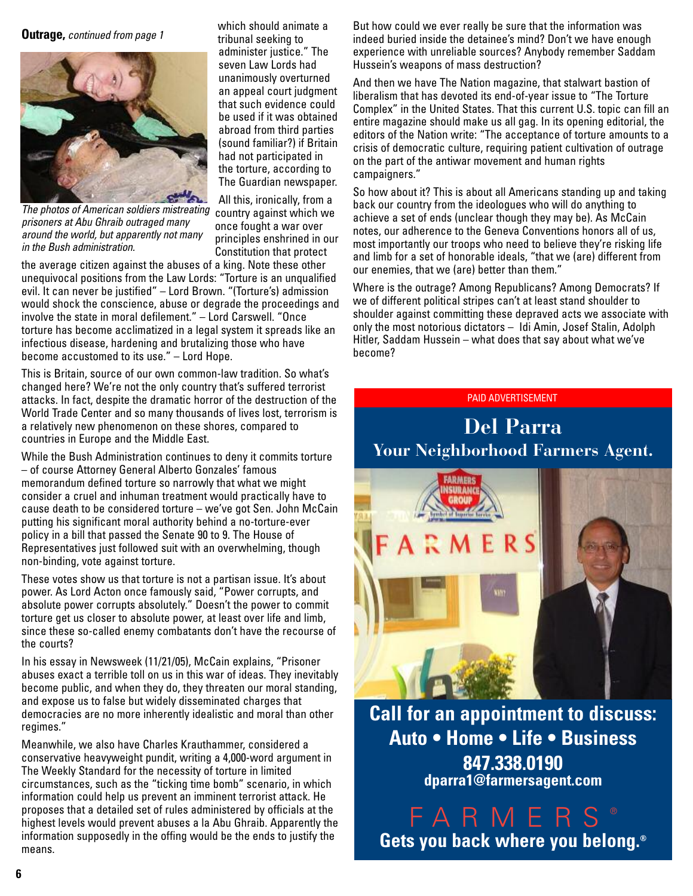**Outrage,** *continued from page 1*



*The photos of American soldiers mistreating prisoners at Abu Ghraib outraged many around the world, but apparently not many in the Bush administration.*

which should animate a tribunal seeking to administer justice." The seven Law Lords had unanimously overturned an appeal court judgment that such evidence could be used if it was obtained abroad from third parties (sound familiar?) if Britain had not participated in the torture, according to The Guardian newspaper.

All this, ironically, from a country against which we once fought a war over principles enshrined in our Constitution that protect

the average citizen against the abuses of a king. Note these other unequivocal positions from the Law Lords: "Torture is an unqualified evil. It can never be justified" – Lord Brown. "(Torture's) admission would shock the conscience, abuse or degrade the proceedings and involve the state in moral defilement." – Lord Carswell. "Once torture has become acclimatized in a legal system it spreads like an infectious disease, hardening and brutalizing those who have become accustomed to its use." – Lord Hope.

This is Britain, source of our own common-law tradition. So what's changed here? We're not the only country that's suffered terrorist attacks. In fact, despite the dramatic horror of the destruction of the World Trade Center and so many thousands of lives lost, terrorism is a relatively new phenomenon on these shores, compared to countries in Europe and the Middle East.

While the Bush Administration continues to deny it commits torture – of course Attorney General Alberto Gonzales' famous memorandum defined torture so narrowly that what we might consider a cruel and inhuman treatment would practically have to cause death to be considered torture – we've got Sen. John McCain putting his significant moral authority behind a no-torture-ever policy in a bill that passed the Senate 90 to 9. The House of Representatives just followed suit with an overwhelming, though non-binding, vote against torture.

These votes show us that torture is not a partisan issue. It's about power. As Lord Acton once famously said, "Power corrupts, and absolute power corrupts absolutely." Doesn't the power to commit torture get us closer to absolute power, at least over life and limb, since these so-called enemy combatants don't have the recourse of the courts?

In his essay in Newsweek (11/21/05), McCain explains, "Prisoner abuses exact a terrible toll on us in this war of ideas. They inevitably become public, and when they do, they threaten our moral standing, and expose us to false but widely disseminated charges that democracies are no more inherently idealistic and moral than other regimes."

Meanwhile, we also have Charles Krauthammer, considered a conservative heavyweight pundit, writing a 4,000-word argument in The Weekly Standard for the necessity of torture in limited circumstances, such as the "ticking time bomb" scenario, in which information could help us prevent an imminent terrorist attack. He proposes that a detailed set of rules administered by officials at the highest levels would prevent abuses a la Abu Ghraib. Apparently the information supposedly in the offing would be the ends to justify the means.

But how could we ever really be sure that the information was indeed buried inside the detainee's mind? Don't we have enough experience with unreliable sources? Anybody remember Saddam Hussein's weapons of mass destruction?

And then we have The Nation magazine, that stalwart bastion of liberalism that has devoted its end-of-year issue to "The Torture Complex" in the United States. That this current U.S. topic can fill an entire magazine should make us all gag. In its opening editorial, the editors of the Nation write: "The acceptance of torture amounts to a crisis of democratic culture, requiring patient cultivation of outrage on the part of the antiwar movement and human rights campaigners."

So how about it? This is about all Americans standing up and taking back our country from the ideologues who will do anything to achieve a set of ends (unclear though they may be). As McCain notes, our adherence to the Geneva Conventions honors all of us, most importantly our troops who need to believe they're risking life and limb for a set of honorable ideals, "that we (are) different from our enemies, that we (are) better than them."

Where is the outrage? Among Republicans? Among Democrats? If we of different political stripes can't at least stand shoulder to shoulder against committing these depraved acts we associate with only the most notorious dictators – Idi Amin, Josef Stalin, Adolph Hitler, Saddam Hussein – what does that say about what we've become?

PAID ADVERTISEMENT



**Call for an appointment to discuss: Auto • Home • Life • Business 847.338.0190 dparra1@farmersagent.com**

FARMERS ® **Gets you back where you belong.®**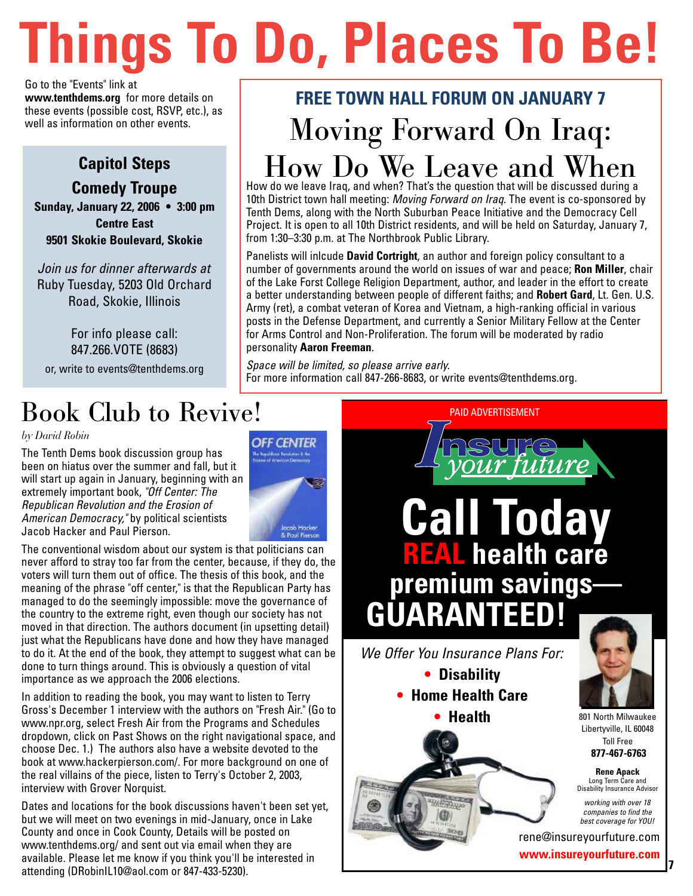# **Things To Do, Places To Be!**

Go to the "Events" link at **www.tenthdems.org** for more details on these events (possible cost, RSVP, etc.), as well as information on other events.

#### **Capitol Steps**

**Comedy Troupe Sunday, January 22, 2006 • 3:00 pm Centre East 9501 Skokie Boulevard, Skokie**

*Join us for dinner afterwards at* Ruby Tuesday, 5203 Old Orchard Road, Skokie, Illinois

For info please call: 847.266.VOTE (8683) or, write to events@tenthdems.org

### Book Club to Revive!

#### *by David Robin*

The Tenth Dems book discussion group has been on hiatus over the summer and fall, but it will start up again in January, beginning with an extremely important book, *"Off Center: The Republican Revolution and the Erosion of American Democracy,"* by political scientists Jacob Hacker and Paul Pierson.



The conventional wisdom about our system is that politicians can never afford to stray too far from the center, because, if they do, the voters will turn them out of office. The thesis of this book, and the meaning of the phrase "off center," is that the Republican Party has managed to do the seemingly impossible: move the governance of the country to the extreme right, even though our society has not moved in that direction. The authors document (in upsetting detail) just what the Republicans have done and how they have managed to do it. At the end of the book, they attempt to suggest what can be done to turn things around. This is obviously a question of vital importance as we approach the 2006 elections.

In addition to reading the book, you may want to listen to Terry Gross's December 1 interview with the authors on "Fresh Air." (Go to www.npr.org, select Fresh Air from the Programs and Schedules dropdown, click on Past Shows on the right navigational space, and choose Dec. 1.) The authors also have a website devoted to the book at www.hackerpierson.com/. For more background on one of the real villains of the piece, listen to Terry's October 2, 2003, interview with Grover Norquist.

Dates and locations for the book discussions haven't been set yet, but we will meet on two evenings in mid-January, once in Lake County and once in Cook County, Details will be posted on www.tenthdems.org/ and sent out via email when they are available. Please let me know if you think you'll be interested in attending (DRobinIL10@aol.com or 847-433-5230).

## **FREE TOWN HALL FORUM ON JANUARY 7** Moving Forward On Iraq: How Do We Leave and When

How do we leave Iraq, and when? That's the question that will be discussed during a 10th District town hall meeting: *Moving Forward on Iraq*. The event is co-sponsored by Tenth Dems, along with the North Suburban Peace Initiative and the Democracy Cell Project. It is open to all 10th District residents, and will be held on Saturday, January 7, from 1:30–3:30 p.m. at The Northbrook Public Library.

Panelists will inlcude **David Cortright**, an author and foreign policy consultant to a number of governments around the world on issues of war and peace; **Ron Miller**, chair of the Lake Forst College Religion Department, author, and leader in the effort to create a better understanding between people of different faiths; and **Robert Gard**, Lt. Gen. U.S. Army (ret), a combat veteran of Korea and Vietnam, a high-ranking official in various posts in the Defense Department, and currently a Senior Military Fellow at the Center for Arms Control and Non-Proliferation. The forum will be moderated by radio personality **Aaron Freeman**.

*Space will be limited, so please arrive early.* For more information call 847-266-8683, or write events@tenthdems.org.



**7**